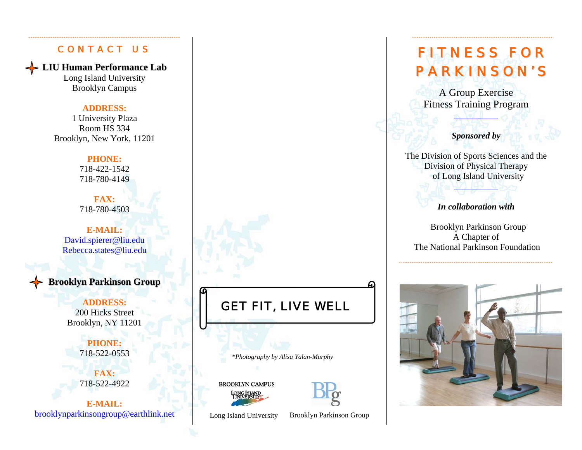#### CONTACT US

**LIU Human Performance Lab**

Long Island University Brooklyn Campus

#### **ADDRESS:**

1 University Plaza Room HS 334 Brooklyn, New York, 11201

#### **PHONE:**

718-422-1542 718-780-4149

**FAX:** 718-780-4503

**E-MAIL:** David.spierer@liu.edu Rebecca.states@liu.edu

### **Brooklyn Parkinson Group**

#### **ADDRESS:**

200 Hicks Street Brooklyn, NY 11201

> **PHONE:** 718-522-0553

**FAX:**  718-522-4922

**E-MAIL:**brooklynparkinsongroup@earthlink.net

# GET FIT, LIVE WELL

*\*Photography by Alisa Yalan-Murphy* 

**BROOKLYN CAMPUS** 



Long Island University Brooklyn Parkinson Group

# FITNESS FOR P A R K I N S O N ' S

A Group Exercise Fitness Training Program

\_\_\_\_\_\_\_\_\_\_

*Sponsored by* 

The Division of Sports Sciences and the Division of Physical Therapy of Long Island University

*In collaboration with* 

\_\_\_\_\_\_\_\_\_\_

 Brooklyn Parkinson Group A Chapter of The National Parkinson Foundation